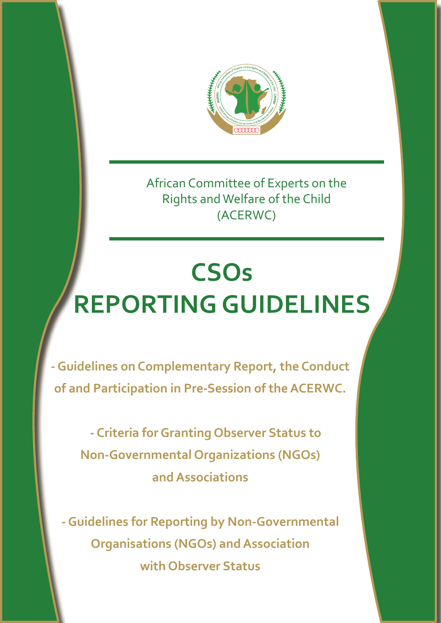

African Committee of Experts on the Rights and Welfare of the Child (ACERWC)

# **CSOs REPORTING GUIDELINES**

**- Guidelines on Complementary Report, the Conduct of and Participation in Pre-Session of the ACERWC.**

 **- Criteria for Granting Observer Status to Non-Governmental Organizations (NGOs) and Associations**

**- Guidelines for Reporting by Non-Governmental Organisations (NGOs) and Association with Observer Status**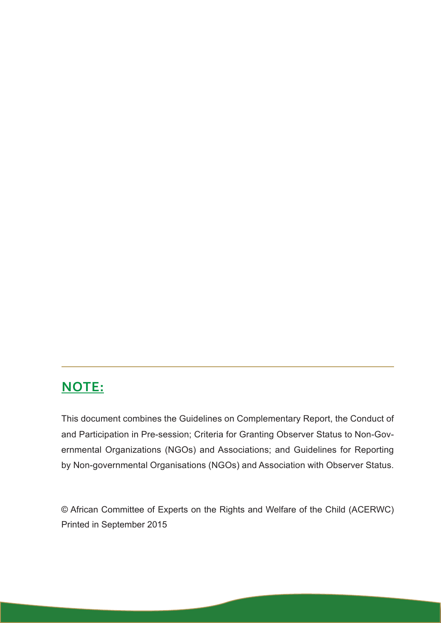# **NOTE:**

This document combines the Guidelines on Complementary Report, the Conduct of and Participation in Pre-session; Criteria for Granting Observer Status to Non-Governmental Organizations (NGOs) and Associations; and Guidelines for Reporting by Non-governmental Organisations (NGOs) and Association with Observer Status.

© African Committee of Experts on the Rights and Welfare of the Child (ACERWC) Printed in September 2015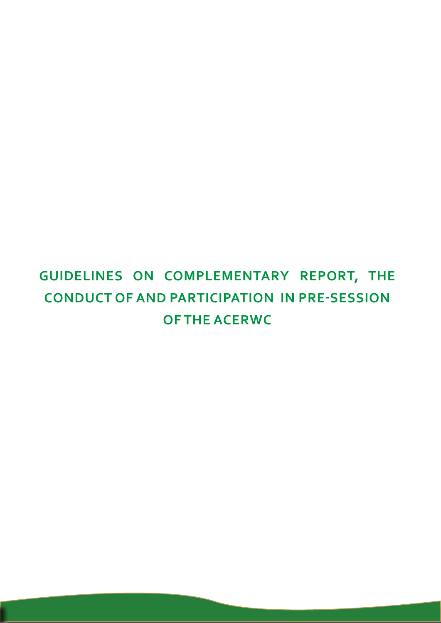# **GUIDELINES ON COMPLEMENTARY REPORT, THE CONDUCT OF AND PARTICIPATION IN PRE-SESSION OF THE ACERWC**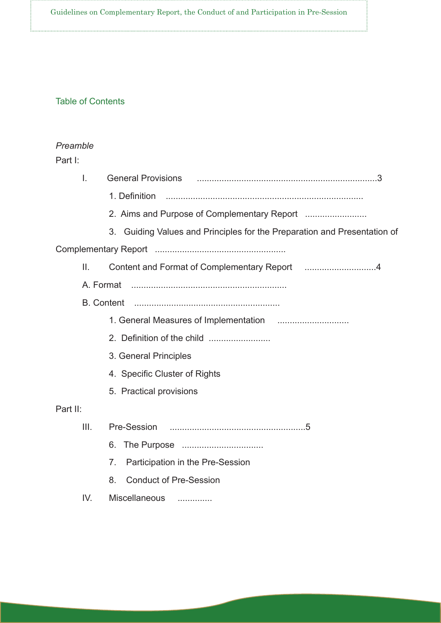Guidelines on Complementary Report, the Conduct of and Participation in Pre-Session

#### Table of Contents

#### *Preamble*

#### Part I:

| I.       | General Provisions (2008) (300) 300 Ceneral Provisions (300) 300 Ceneral Provisions (300) 300 Ceneral Contract |  |  |
|----------|----------------------------------------------------------------------------------------------------------------|--|--|
|          | 1. Definition                                                                                                  |  |  |
|          |                                                                                                                |  |  |
|          | 3. Guiding Values and Principles for the Preparation and Presentation of                                       |  |  |
|          |                                                                                                                |  |  |
| II.      |                                                                                                                |  |  |
|          | A. Format                                                                                                      |  |  |
|          |                                                                                                                |  |  |
|          |                                                                                                                |  |  |
|          |                                                                                                                |  |  |
|          | 3. General Principles                                                                                          |  |  |
|          | 4. Specific Cluster of Rights                                                                                  |  |  |
|          | 5. Practical provisions                                                                                        |  |  |
| Part II: |                                                                                                                |  |  |
| III.     |                                                                                                                |  |  |
|          | 6.                                                                                                             |  |  |
|          | Participation in the Pre-Session<br>7 <sub>1</sub>                                                             |  |  |
|          | <b>Conduct of Pre-Session</b><br>8.                                                                            |  |  |
| IV.      | Miscellaneous                                                                                                  |  |  |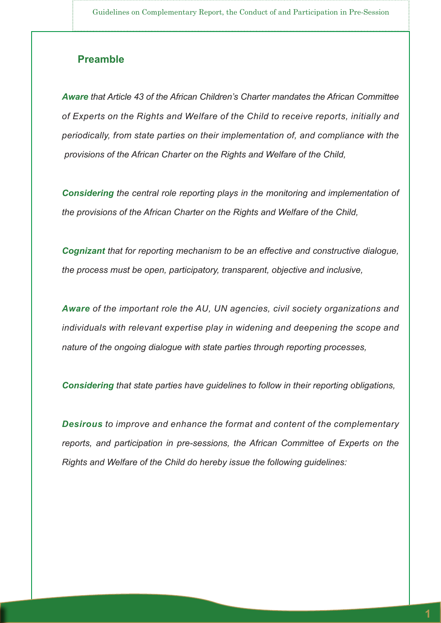#### **Preamble**

*Aware that Article 43 of the African Children's Charter mandates the African Committee of Experts on the Rights and Welfare of the Child to receive reports, initially and periodically, from state parties on their implementation of, and compliance with the provisions of the African Charter on the Rights and Welfare of the Child,*

*Considering the central role reporting plays in the monitoring and implementation of the provisions of the African Charter on the Rights and Welfare of the Child,*

*Cognizant that for reporting mechanism to be an effective and constructive dialogue, the process must be open, participatory, transparent, objective and inclusive,*

*Aware of the important role the AU, UN agencies, civil society organizations and individuals with relevant expertise play in widening and deepening the scope and nature of the ongoing dialogue with state parties through reporting processes,*

*Considering that state parties have guidelines to follow in their reporting obligations,*

*Desirous to improve and enhance the format and content of the complementary reports, and participation in pre-sessions, the African Committee of Experts on the Rights and Welfare of the Child do hereby issue the following guidelines:*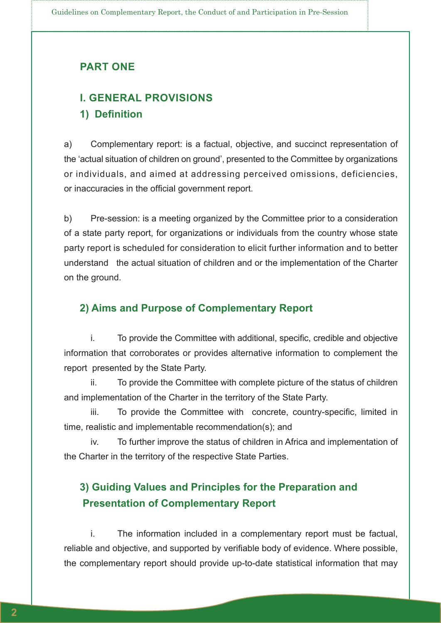#### **PART ONE**

### **I. GENERAL PROVISIONS 1) Definition**

a) Complementary report: is a factual, objective, and succinct representation of the 'actual situation of children on ground', presented to the Committee by organizations or individuals, and aimed at addressing perceived omissions, deficiencies, or inaccuracies in the official government report.

b) Pre-session: is a meeting organized by the Committee prior to a consideration of a state party report, for organizations or individuals from the country whose state party report is scheduled for consideration to elicit further information and to better understand the actual situation of children and or the implementation of the Charter on the ground.

#### **2) Aims and Purpose of Complementary Report**

i. To provide the Committee with additional, specific, credible and objective information that corroborates or provides alternative information to complement the report presented by the State Party.

ii. To provide the Committee with complete picture of the status of children and implementation of the Charter in the territory of the State Party.

iii. To provide the Committee with concrete, country-specific, limited in time, realistic and implementable recommendation(s); and

iv. To further improve the status of children in Africa and implementation of the Charter in the territory of the respective State Parties.

### **3) Guiding Values and Principles for the Preparation and Presentation of Complementary Report**

i. The information included in a complementary report must be factual, reliable and objective, and supported by verifiable body of evidence. Where possible, the complementary report should provide up-to-date statistical information that may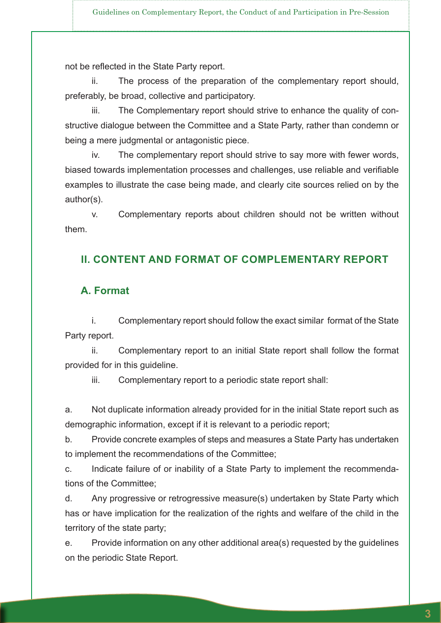not be reflected in the State Party report.

ii. The process of the preparation of the complementary report should, preferably, be broad, collective and participatory.

iii. The Complementary report should strive to enhance the quality of constructive dialogue between the Committee and a State Party, rather than condemn or being a mere judgmental or antagonistic piece.

iv. The complementary report should strive to say more with fewer words, biased towards implementation processes and challenges, use reliable and verifiable examples to illustrate the case being made, and clearly cite sources relied on by the author(s).

v. Complementary reports about children should not be written without them.

#### **II. CONTENT AND FORMAT OF COMPLEMENTARY REPORT**

#### **A. Format**

i. Complementary report should follow the exact similar format of the State Party report.

ii. Complementary report to an initial State report shall follow the format provided for in this guideline.

iii. Complementary report to a periodic state report shall:

a. Not duplicate information already provided for in the initial State report such as demographic information, except if it is relevant to a periodic report;

b. Provide concrete examples of steps and measures a State Party has undertaken to implement the recommendations of the Committee;

c. Indicate failure of or inability of a State Party to implement the recommendations of the Committee;

d. Any progressive or retrogressive measure(s) undertaken by State Party which has or have implication for the realization of the rights and welfare of the child in the territory of the state party;

e. Provide information on any other additional area(s) requested by the guidelines on the periodic State Report.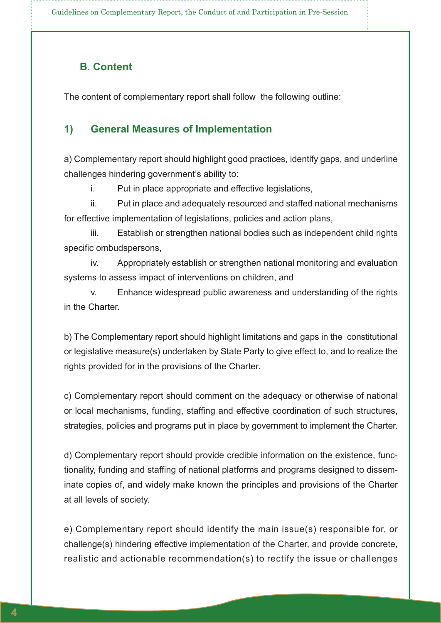Guidelines on Complementary Report, the Conduct of and Participation in Pre-Session

#### **B. Content**

The content of complementary report shall follow the following outline:

#### **1) General Measures of Implementation**

a) Complementary report should highlight good practices, identify gaps, and underline challenges hindering government's ability to:

i. Put in place appropriate and effective legislations,

ii. Put in place and adequately resourced and staffed national mechanisms for effective implementation of legislations, policies and action plans,

iii. Establish or strengthen national bodies such as independent child rights specific ombudspersons,

iv. Appropriately establish or strengthen national monitoring and evaluation systems to assess impact of interventions on children, and

v. Enhance widespread public awareness and understanding of the rights in the Charter.

b) The Complementary report should highlight limitations and gaps in the constitutional or legislative measure(s) undertaken by State Party to give effect to, and to realize the rights provided for in the provisions of the Charter.

c) Complementary report should comment on the adequacy or otherwise of national or local mechanisms, funding, staffing and effective coordination of such structures, strategies, policies and programs put in place by government to implement the Charter.

d) Complementary report should provide credible information on the existence, functionality, funding and staffing of national platforms and programs designed to disseminate copies of, and widely make known the principles and provisions of the Charter at all levels of society.

e) Complementary report should identify the main issue(s) responsible for, or challenge(s) hindering effective implementation of the Charter, and provide concrete, realistic and actionable recommendation(s) to rectify the issue or challenges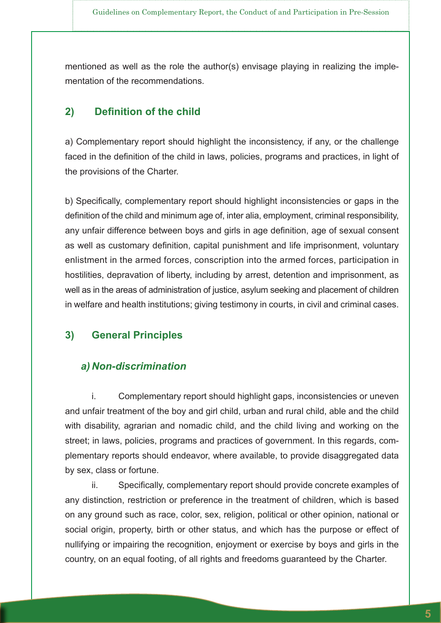mentioned as well as the role the author(s) envisage playing in realizing the implementation of the recommendations.

#### **2) Definition of the child**

a) Complementary report should highlight the inconsistency, if any, or the challenge faced in the definition of the child in laws, policies, programs and practices, in light of the provisions of the Charter.

b) Specifically, complementary report should highlight inconsistencies or gaps in the definition of the child and minimum age of, inter alia, employment, criminal responsibility, any unfair difference between boys and girls in age definition, age of sexual consent as well as customary definition, capital punishment and life imprisonment, voluntary enlistment in the armed forces, conscription into the armed forces, participation in hostilities, depravation of liberty, including by arrest, detention and imprisonment, as well as in the areas of administration of justice, asylum seeking and placement of children in welfare and health institutions; giving testimony in courts, in civil and criminal cases.

#### **3) General Principles**

#### *a) Non-discrimination*

i. Complementary report should highlight gaps, inconsistencies or uneven and unfair treatment of the boy and girl child, urban and rural child, able and the child with disability, agrarian and nomadic child, and the child living and working on the street; in laws, policies, programs and practices of government. In this regards, complementary reports should endeavor, where available, to provide disaggregated data by sex, class or fortune.

ii. Specifically, complementary report should provide concrete examples of any distinction, restriction or preference in the treatment of children, which is based on any ground such as race, color, sex, religion, political or other opinion, national or social origin, property, birth or other status, and which has the purpose or effect of nullifying or impairing the recognition, enjoyment or exercise by boys and girls in the country, on an equal footing, of all rights and freedoms guaranteed by the Charter.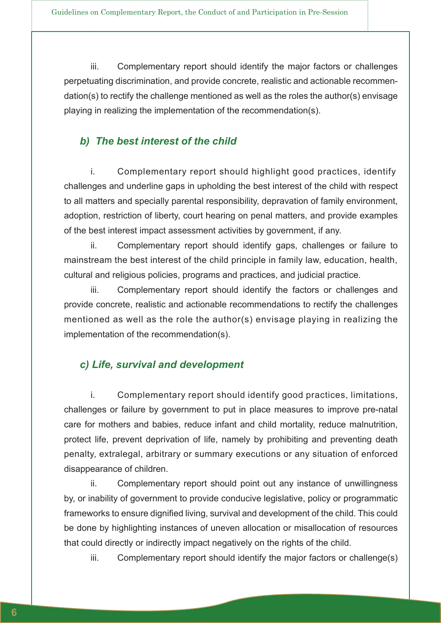iii. Complementary report should identify the major factors or challenges perpetuating discrimination, and provide concrete, realistic and actionable recommendation(s) to rectify the challenge mentioned as well as the roles the author(s) envisage playing in realizing the implementation of the recommendation(s).

#### *b) The best interest of the child*

i. Complementary report should highlight good practices, identify challenges and underline gaps in upholding the best interest of the child with respect to all matters and specially parental responsibility, depravation of family environment, adoption, restriction of liberty, court hearing on penal matters, and provide examples of the best interest impact assessment activities by government, if any.

ii. Complementary report should identify gaps, challenges or failure to mainstream the best interest of the child principle in family law, education, health, cultural and religious policies, programs and practices, and judicial practice.

iii. Complementary report should identify the factors or challenges and provide concrete, realistic and actionable recommendations to rectify the challenges mentioned as well as the role the author(s) envisage playing in realizing the implementation of the recommendation(s).

#### *c) Life, survival and development*

i. Complementary report should identify good practices, limitations, challenges or failure by government to put in place measures to improve pre-natal care for mothers and babies, reduce infant and child mortality, reduce malnutrition, protect life, prevent deprivation of life, namely by prohibiting and preventing death penalty, extralegal, arbitrary or summary executions or any situation of enforced disappearance of children.

ii. Complementary report should point out any instance of unwillingness by, or inability of government to provide conducive legislative, policy or programmatic frameworks to ensure dignified living, survival and development of the child. This could be done by highlighting instances of uneven allocation or misallocation of resources that could directly or indirectly impact negatively on the rights of the child.

iii. Complementary report should identify the major factors or challenge(s)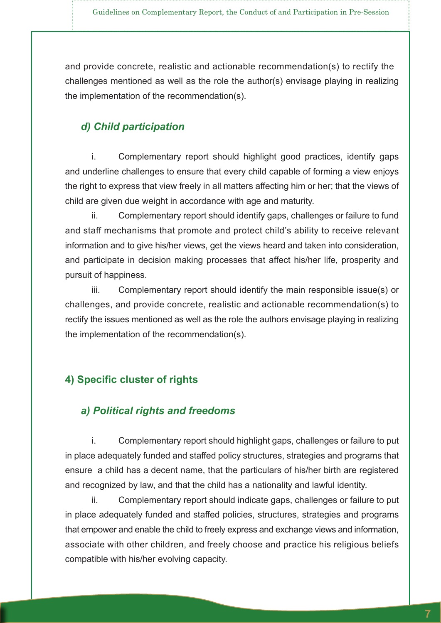and provide concrete, realistic and actionable recommendation(s) to rectify the challenges mentioned as well as the role the author(s) envisage playing in realizing the implementation of the recommendation(s).

#### *d) Child participation*

i. Complementary report should highlight good practices, identify gaps and underline challenges to ensure that every child capable of forming a view enjoys the right to express that view freely in all matters affecting him or her; that the views of child are given due weight in accordance with age and maturity.

ii. Complementary report should identify gaps, challenges or failure to fund and staff mechanisms that promote and protect child's ability to receive relevant information and to give his/her views, get the views heard and taken into consideration, and participate in decision making processes that affect his/her life, prosperity and pursuit of happiness.

iii. Complementary report should identify the main responsible issue(s) or challenges, and provide concrete, realistic and actionable recommendation(s) to rectify the issues mentioned as well as the role the authors envisage playing in realizing the implementation of the recommendation(s).

#### **4) Specific cluster of rights**

#### *a) Political rights and freedoms*

i. Complementary report should highlight gaps, challenges or failure to put in place adequately funded and staffed policy structures, strategies and programs that ensure a child has a decent name, that the particulars of his/her birth are registered and recognized by law, and that the child has a nationality and lawful identity.

ii. Complementary report should indicate gaps, challenges or failure to put in place adequately funded and staffed policies, structures, strategies and programs that empower and enable the child to freely express and exchange views and information, associate with other children, and freely choose and practice his religious beliefs compatible with his/her evolving capacity.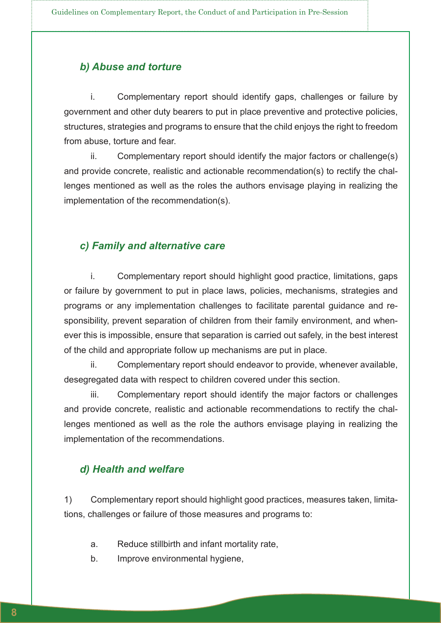#### *b) Abuse and torture*

i. Complementary report should identify gaps, challenges or failure by government and other duty bearers to put in place preventive and protective policies, structures, strategies and programs to ensure that the child enjoys the right to freedom from abuse, torture and fear.

ii. Complementary report should identify the major factors or challenge(s) and provide concrete, realistic and actionable recommendation(s) to rectify the challenges mentioned as well as the roles the authors envisage playing in realizing the implementation of the recommendation(s).

#### *c) Family and alternative care*

i. Complementary report should highlight good practice, limitations, gaps or failure by government to put in place laws, policies, mechanisms, strategies and programs or any implementation challenges to facilitate parental guidance and responsibility, prevent separation of children from their family environment, and whenever this is impossible, ensure that separation is carried out safely, in the best interest of the child and appropriate follow up mechanisms are put in place.

ii. Complementary report should endeavor to provide, whenever available, desegregated data with respect to children covered under this section.

iii. Complementary report should identify the major factors or challenges and provide concrete, realistic and actionable recommendations to rectify the challenges mentioned as well as the role the authors envisage playing in realizing the implementation of the recommendations.

#### *d) Health and welfare*

1) Complementary report should highlight good practices, measures taken, limitations, challenges or failure of those measures and programs to:

- a. Reduce stillbirth and infant mortality rate,
- b. Improve environmental hygiene,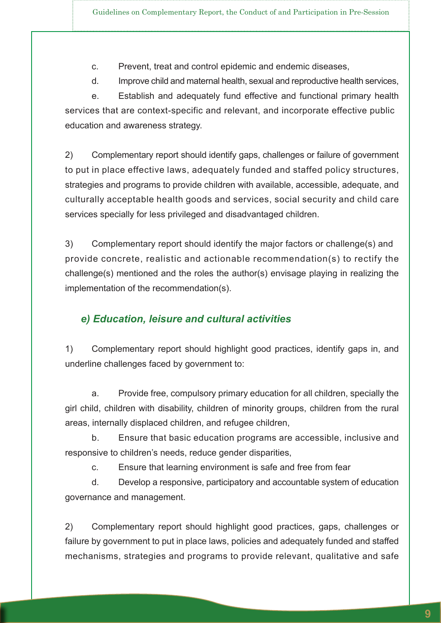c. Prevent, treat and control epidemic and endemic diseases,

d. Improve child and maternal health, sexual and reproductive health services,

e. Establish and adequately fund effective and functional primary health services that are context-specific and relevant, and incorporate effective public education and awareness strategy.

2) Complementary report should identify gaps, challenges or failure of government to put in place effective laws, adequately funded and staffed policy structures, strategies and programs to provide children with available, accessible, adequate, and culturally acceptable health goods and services, social security and child care services specially for less privileged and disadvantaged children.

3) Complementary report should identify the major factors or challenge(s) and provide concrete, realistic and actionable recommendation(s) to rectify the challenge(s) mentioned and the roles the author(s) envisage playing in realizing the implementation of the recommendation(s).

#### *e) Education, leisure and cultural activities*

1) Complementary report should highlight good practices, identify gaps in, and underline challenges faced by government to:

a. Provide free, compulsory primary education for all children, specially the girl child, children with disability, children of minority groups, children from the rural areas, internally displaced children, and refugee children,

b. Ensure that basic education programs are accessible, inclusive and responsive to children's needs, reduce gender disparities,

c. Ensure that learning environment is safe and free from fear

d. Develop a responsive, participatory and accountable system of education governance and management.

2) Complementary report should highlight good practices, gaps, challenges or failure by government to put in place laws, policies and adequately funded and staffed mechanisms, strategies and programs to provide relevant, qualitative and safe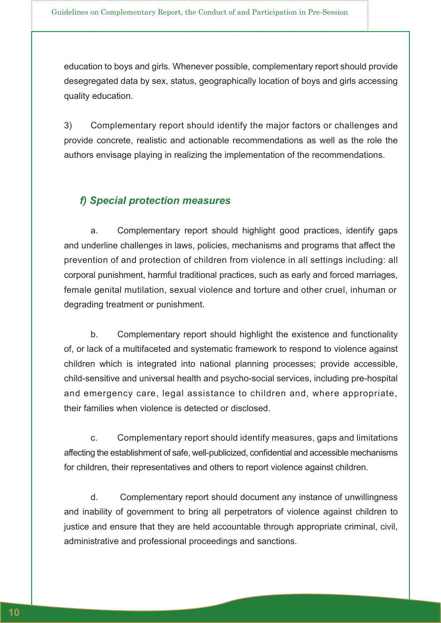education to boys and girls. Whenever possible, complementary report should provide desegregated data by sex, status, geographically location of boys and girls accessing quality education.

3) Complementary report should identify the major factors or challenges and provide concrete, realistic and actionable recommendations as well as the role the authors envisage playing in realizing the implementation of the recommendations.

#### *f) Special protection measures*

a. Complementary report should highlight good practices, identify gaps and underline challenges in laws, policies, mechanisms and programs that affect the prevention of and protection of children from violence in all settings including: all corporal punishment, harmful traditional practices, such as early and forced marriages, female genital mutilation, sexual violence and torture and other cruel, inhuman or degrading treatment or punishment.

b. Complementary report should highlight the existence and functionality of, or lack of a multifaceted and systematic framework to respond to violence against children which is integrated into national planning processes; provide accessible, child-sensitive and universal health and psycho-social services, including pre-hospital and emergency care, legal assistance to children and, where appropriate, their families when violence is detected or disclosed.

c. Complementary report should identify measures, gaps and limitations affecting the establishment of safe, well-publicized, confidential and accessible mechanisms for children, their representatives and others to report violence against children.

d. Complementary report should document any instance of unwillingness and inability of government to bring all perpetrators of violence against children to justice and ensure that they are held accountable through appropriate criminal, civil, administrative and professional proceedings and sanctions.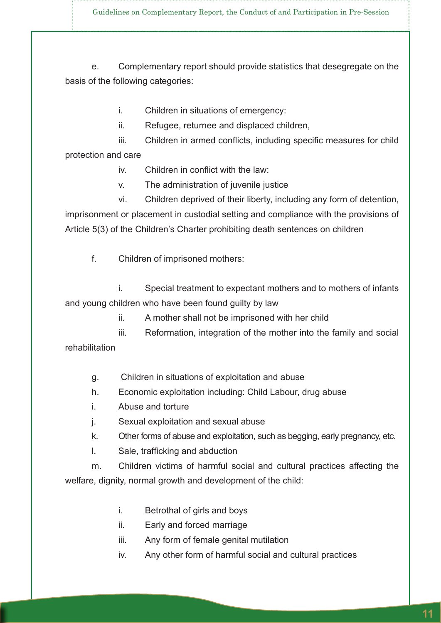Guidelines on Complementary Report, the Conduct of and Participation in Pre-Session

e. Complementary report should provide statistics that desegregate on the basis of the following categories:

- i. Children in situations of emergency:
- ii. Refugee, returnee and displaced children,

iii. Children in armed conflicts, including specific measures for child protection and care

iv. Children in conflict with the law:

v. The administration of juvenile justice

 vi. Children deprived of their liberty, including any form of detention, imprisonment or placement in custodial setting and compliance with the provisions of Article 5(3) of the Children's Charter prohibiting death sentences on children

f. Children of imprisoned mothers:

 i. Special treatment to expectant mothers and to mothers of infants and young children who have been found guilty by law

ii. A mother shall not be imprisoned with her child

 iii. Reformation, integration of the mother into the family and social rehabilitation

- g. Children in situations of exploitation and abuse
- h. Economic exploitation including: Child Labour, drug abuse
- i. Abuse and torture
- j. Sexual exploitation and sexual abuse
- k. Other forms of abuse and exploitation, such as begging, early pregnancy, etc.
- I. Sale, trafficking and abduction

m. Children victims of harmful social and cultural practices affecting the welfare, dignity, normal growth and development of the child:

- i. Betrothal of girls and boys
- ii. Early and forced marriage
- iii. Any form of female genital mutilation
- iv. Any other form of harmful social and cultural practices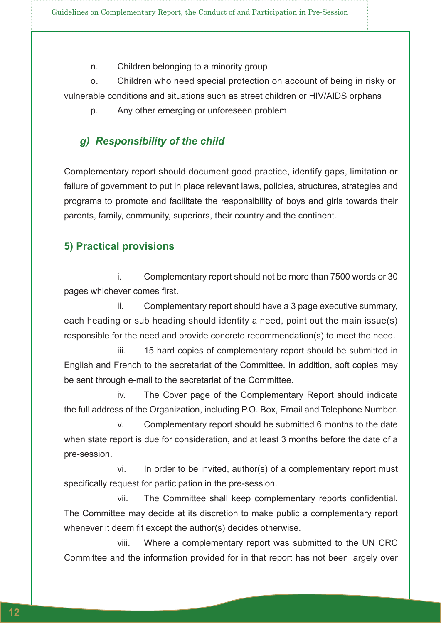n. Children belonging to a minority group

o. Children who need special protection on account of being in risky or vulnerable conditions and situations such as street children or HIV/AIDS orphans

p. Any other emerging or unforeseen problem

#### *g) Responsibility of the child*

Complementary report should document good practice, identify gaps, limitation or failure of government to put in place relevant laws, policies, structures, strategies and programs to promote and facilitate the responsibility of boys and girls towards their parents, family, community, superiors, their country and the continent.

#### **5) Practical provisions**

 i. Complementary report should not be more than 7500 words or 30 pages whichever comes first.

 ii. Complementary report should have a 3 page executive summary, each heading or sub heading should identity a need, point out the main issue(s) responsible for the need and provide concrete recommendation(s) to meet the need.

 iii. 15 hard copies of complementary report should be submitted in English and French to the secretariat of the Committee. In addition, soft copies may be sent through e-mail to the secretariat of the Committee.

 iv. The Cover page of the Complementary Report should indicate the full address of the Organization, including P.O. Box, Email and Telephone Number.

 v. Complementary report should be submitted 6 months to the date when state report is due for consideration, and at least 3 months before the date of a pre-session.

 vi. In order to be invited, author(s) of a complementary report must specifically request for participation in the pre-session.

vii. The Committee shall keep complementary reports confidential. The Committee may decide at its discretion to make public a complementary report whenever it deem fit except the author(s) decides otherwise.

 viii. Where a complementary report was submitted to the UN CRC Committee and the information provided for in that report has not been largely over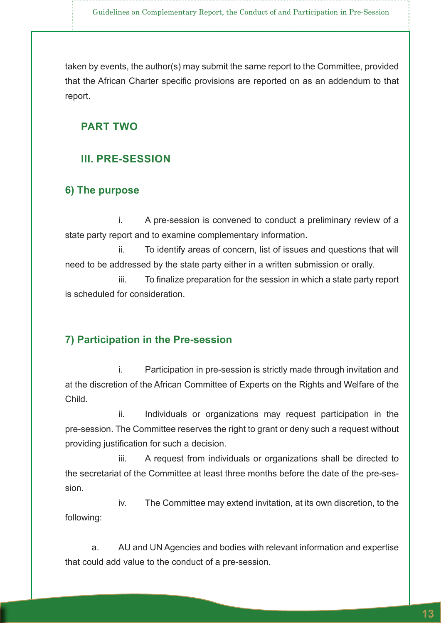taken by events, the author(s) may submit the same report to the Committee, provided that the African Charter specific provisions are reported on as an addendum to that report.

#### **PART TWO**

#### **III. PRE-SESSION**

#### **6) The purpose**

 i. A pre-session is convened to conduct a preliminary review of a state party report and to examine complementary information.

 ii. To identify areas of concern, list of issues and questions that will need to be addressed by the state party either in a written submission or orally.

iii. To finalize preparation for the session in which a state party report is scheduled for consideration.

#### **7) Participation in the Pre-session**

 i. Participation in pre-session is strictly made through invitation and at the discretion of the African Committee of Experts on the Rights and Welfare of the Child.

ii. Individuals or organizations may request participation in the pre-session. The Committee reserves the right to grant or deny such a request without providing justification for such a decision.

 iii. A request from individuals or organizations shall be directed to the secretariat of the Committee at least three months before the date of the pre-session.

 iv. The Committee may extend invitation, at its own discretion, to the following:

a. AU and UN Agencies and bodies with relevant information and expertise that could add value to the conduct of a pre-session.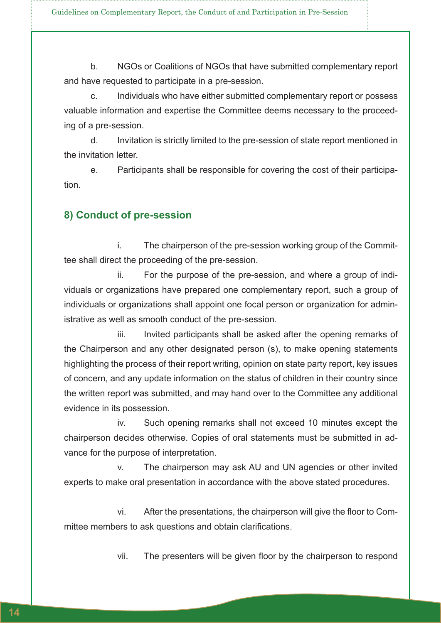b. NGOs or Coalitions of NGOs that have submitted complementary report and have requested to participate in a pre-session.

c. Individuals who have either submitted complementary report or possess valuable information and expertise the Committee deems necessary to the proceeding of a pre-session.

d. Invitation is strictly limited to the pre-session of state report mentioned in the invitation letter.

e. Participants shall be responsible for covering the cost of their participation.

#### **8) Conduct of pre-session**

 i. The chairperson of the pre-session working group of the Committee shall direct the proceeding of the pre-session.

 ii. For the purpose of the pre-session, and where a group of individuals or organizations have prepared one complementary report, such a group of individuals or organizations shall appoint one focal person or organization for administrative as well as smooth conduct of the pre-session.

iii. Invited participants shall be asked after the opening remarks of the Chairperson and any other designated person (s), to make opening statements highlighting the process of their report writing, opinion on state party report, key issues of concern, and any update information on the status of children in their country since the written report was submitted, and may hand over to the Committee any additional evidence in its possession.

 iv. Such opening remarks shall not exceed 10 minutes except the chairperson decides otherwise. Copies of oral statements must be submitted in advance for the purpose of interpretation.

 v. The chairperson may ask AU and UN agencies or other invited experts to make oral presentation in accordance with the above stated procedures.

vi. After the presentations, the chairperson will give the floor to Committee members to ask questions and obtain clarifications.

vii. The presenters will be given floor by the chairperson to respond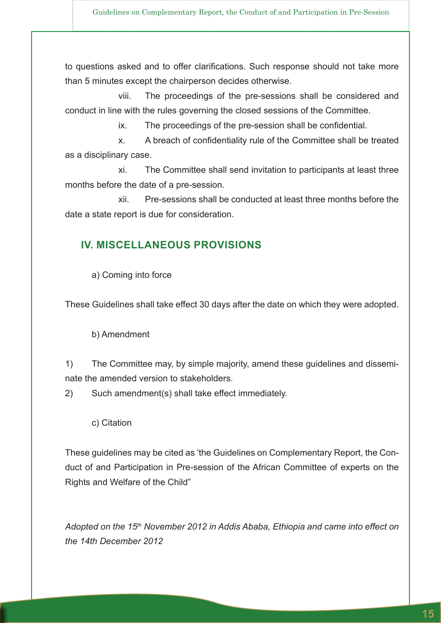to questions asked and to offer clarifications. Such response should not take more than 5 minutes except the chairperson decides otherwise.

 viii. The proceedings of the pre-sessions shall be considered and conduct in line with the rules governing the closed sessions of the Committee.

ix. The proceedings of the pre-session shall be confidential.

x. A breach of confidentiality rule of the Committee shall be treated as a disciplinary case.

 xi. The Committee shall send invitation to participants at least three months before the date of a pre-session.

 xii. Pre-sessions shall be conducted at least three months before the date a state report is due for consideration.

#### **IV. MISCELLANEOUS PROVISIONS**

a) Coming into force

These Guidelines shall take effect 30 days after the date on which they were adopted.

b) Amendment

1) The Committee may, by simple majority, amend these guidelines and disseminate the amended version to stakeholders.

2) Such amendment(s) shall take effect immediately.

c) Citation

These guidelines may be cited as 'the Guidelines on Complementary Report, the Conduct of and Participation in Pre-session of the African Committee of experts on the Rights and Welfare of the Child"

*Adopted on the 15th November 2012 in Addis Ababa, Ethiopia and came into effect on the 14th December 2012*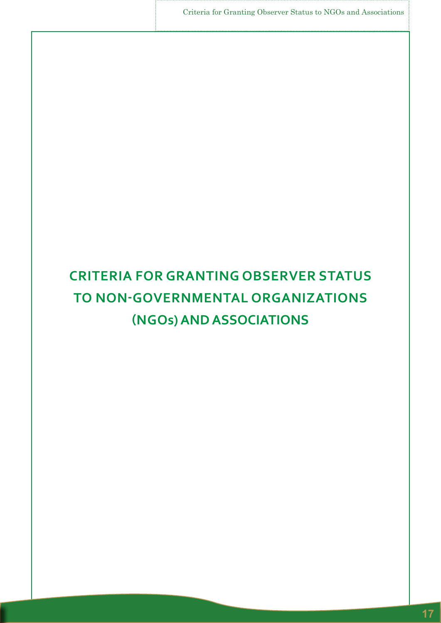Criteria for Granting Observer Status to NGOs and Associations

# **CRITERIA FOR GRANTING OBSERVER STATUS TO NON-GOVERNMENTAL ORGANIZATIONS (NGOs) AND ASSOCIATIONS**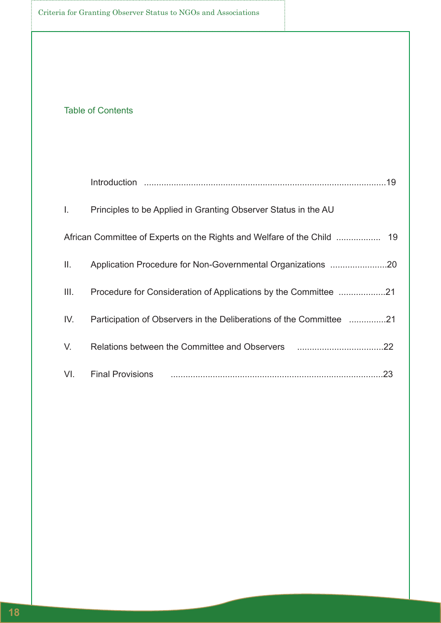#### Table of Contents

| L.   | Principles to be Applied in Granting Observer Status in the AU      |     |
|------|---------------------------------------------------------------------|-----|
|      |                                                                     |     |
| Ш.   |                                                                     |     |
| III. |                                                                     |     |
| IV.  | Participation of Observers in the Deliberations of the Committee 21 |     |
| V.   |                                                                     |     |
| VI.  | <b>Final Provisions</b>                                             | .23 |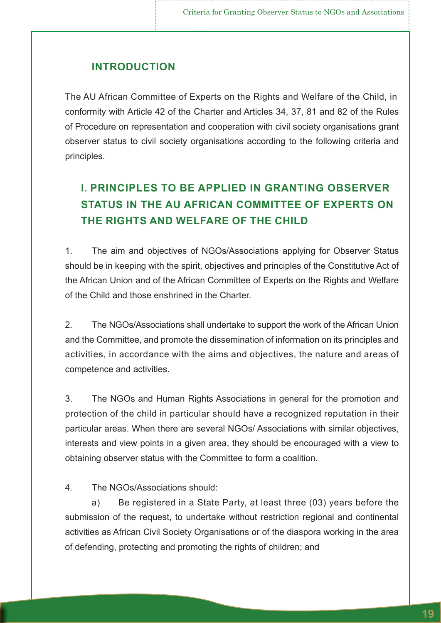#### **INTRODUCTION**

The AU African Committee of Experts on the Rights and Welfare of the Child, in conformity with Article 42 of the Charter and Articles 34, 37, 81 and 82 of the Rules of Procedure on representation and cooperation with civil society organisations grant observer status to civil society organisations according to the following criteria and principles.

# **I. PRINCIPLES TO BE APPLIED IN GRANTING OBSERVER STATUS IN THE AU AFRICAN COMMITTEE OF EXPERTS ON THE RIGHTS AND WELFARE OF THE CHILD**

1. The aim and objectives of NGOs/Associations applying for Observer Status should be in keeping with the spirit, objectives and principles of the Constitutive Act of the African Union and of the African Committee of Experts on the Rights and Welfare of the Child and those enshrined in the Charter.

2. The NGOs/Associations shall undertake to support the work of the African Union and the Committee, and promote the dissemination of information on its principles and activities, in accordance with the aims and objectives, the nature and areas of competence and activities.

3. The NGOs and Human Rights Associations in general for the promotion and protection of the child in particular should have a recognized reputation in their particular areas. When there are several NGOs/ Associations with similar objectives, interests and view points in a given area, they should be encouraged with a view to obtaining observer status with the Committee to form a coalition.

4. The NGOs/Associations should:

a) Be registered in a State Party, at least three (03) years before the submission of the request, to undertake without restriction regional and continental activities as African Civil Society Organisations or of the diaspora working in the area of defending, protecting and promoting the rights of children; and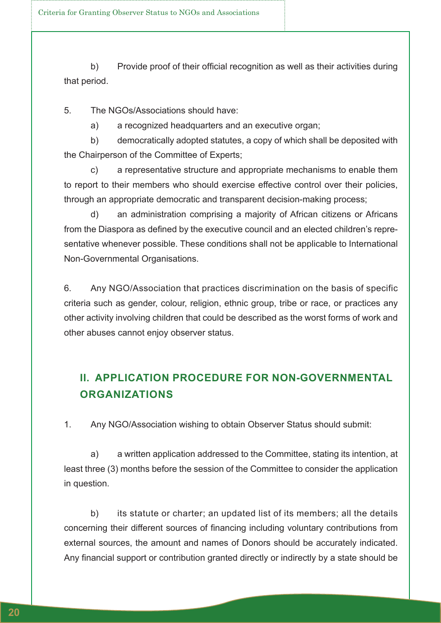b) Provide proof of their official recognition as well as their activities during that period.

5. The NGOs/Associations should have:

a) a recognized headquarters and an executive organ;

b) democratically adopted statutes, a copy of which shall be deposited with the Chairperson of the Committee of Experts;

c) a representative structure and appropriate mechanisms to enable them to report to their members who should exercise effective control over their policies, through an appropriate democratic and transparent decision-making process;

d) an administration comprising a majority of African citizens or Africans from the Diaspora as defined by the executive council and an elected children's representative whenever possible. These conditions shall not be applicable to International Non-Governmental Organisations.

6. Any NGO/Association that practices discrimination on the basis of specific criteria such as gender, colour, religion, ethnic group, tribe or race, or practices any other activity involving children that could be described as the worst forms of work and other abuses cannot enjoy observer status.

## **II. APPLICATION PROCEDURE FOR NON-GOVERNMENTAL ORGANIZATIONS**

1. Any NGO/Association wishing to obtain Observer Status should submit:

a) a written application addressed to the Committee, stating its intention, at least three (3) months before the session of the Committee to consider the application in question.

b) its statute or charter; an updated list of its members; all the details concerning their different sources of financing including voluntary contributions from external sources, the amount and names of Donors should be accurately indicated. Any financial support or contribution granted directly or indirectly by a state should be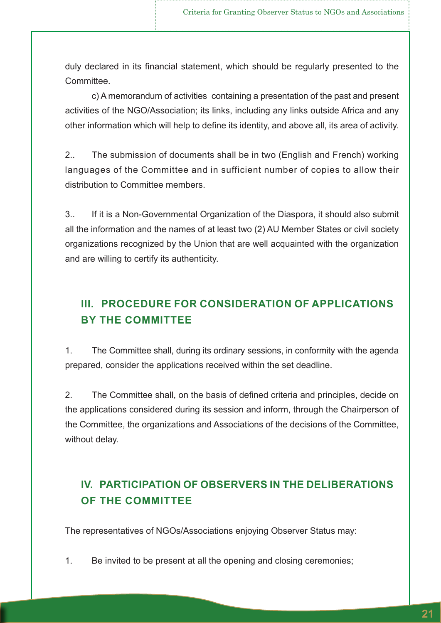duly declared in its financial statement, which should be regularly presented to the **Committee** 

c) A memorandum of activities containing a presentation of the past and present activities of the NGO/Association; its links, including any links outside Africa and any other information which will help to define its identity, and above all, its area of activity.

2.. The submission of documents shall be in two (English and French) working languages of the Committee and in sufficient number of copies to allow their distribution to Committee members.

3.. If it is a Non-Governmental Organization of the Diaspora, it should also submit all the information and the names of at least two (2) AU Member States or civil society organizations recognized by the Union that are well acquainted with the organization and are willing to certify its authenticity.

# **III. PROCEDURE FOR CONSIDERATION OF APPLICATIONS BY THE COMMITTEE**

1. The Committee shall, during its ordinary sessions, in conformity with the agenda prepared, consider the applications received within the set deadline.

2. The Committee shall, on the basis of defined criteria and principles, decide on the applications considered during its session and inform, through the Chairperson of the Committee, the organizations and Associations of the decisions of the Committee, without delay.

# **IV. PARTICIPATION OF OBSERVERS IN THE DELIBERATIONS OF THE COMMITTEE**

The representatives of NGOs/Associations enjoying Observer Status may:

1. Be invited to be present at all the opening and closing ceremonies;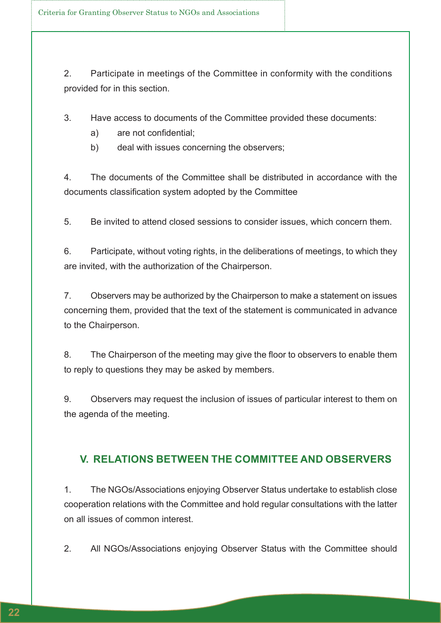2. Participate in meetings of the Committee in conformity with the conditions provided for in this section.

3. Have access to documents of the Committee provided these documents:

- a) are not confidential;
- b) deal with issues concerning the observers;

4. The documents of the Committee shall be distributed in accordance with the documents classification system adopted by the Committee

5. Be invited to attend closed sessions to consider issues, which concern them.

6. Participate, without voting rights, in the deliberations of meetings, to which they are invited, with the authorization of the Chairperson.

7. Observers may be authorized by the Chairperson to make a statement on issues concerning them, provided that the text of the statement is communicated in advance to the Chairperson.

8. The Chairperson of the meeting may give the floor to observers to enable them to reply to questions they may be asked by members.

9. Observers may request the inclusion of issues of particular interest to them on the agenda of the meeting.

#### **V. RELATIONS BETWEEN THE COMMITTEE AND OBSERVERS**

1. The NGOs/Associations enjoying Observer Status undertake to establish close cooperation relations with the Committee and hold regular consultations with the latter on all issues of common interest.

2. All NGOs/Associations enjoying Observer Status with the Committee should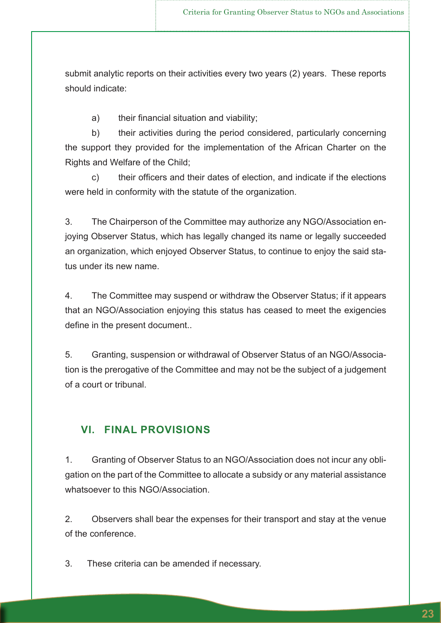submit analytic reports on their activities every two years (2) years. These reports should indicate:

a) their financial situation and viability;

b) their activities during the period considered, particularly concerning the support they provided for the implementation of the African Charter on the Rights and Welfare of the Child;

 c) their officers and their dates of election, and indicate if the elections were held in conformity with the statute of the organization.

3. The Chairperson of the Committee may authorize any NGO/Association enjoying Observer Status, which has legally changed its name or legally succeeded an organization, which enjoyed Observer Status, to continue to enjoy the said status under its new name.

4. The Committee may suspend or withdraw the Observer Status; if it appears that an NGO/Association enjoying this status has ceased to meet the exigencies define in the present document..

5. Granting, suspension or withdrawal of Observer Status of an NGO/Association is the prerogative of the Committee and may not be the subject of a judgement of a court or tribunal.

#### **VI. FINAL PROVISIONS**

1. Granting of Observer Status to an NGO/Association does not incur any obligation on the part of the Committee to allocate a subsidy or any material assistance whatsoever to this NGO/Association.

2. Observers shall bear the expenses for their transport and stay at the venue of the conference.

3. These criteria can be amended if necessary.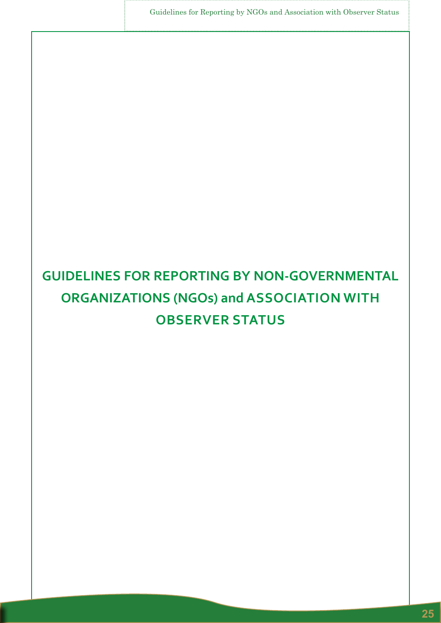Guidelines for Reporting by NGOs and Association with Observer Status

# **GUIDELINES FOR REPORTING BY NON-GOVERNMENTAL ORGANIZATIONS (NGOs) and ASSOCIATION WITH OBSERVER STATUS**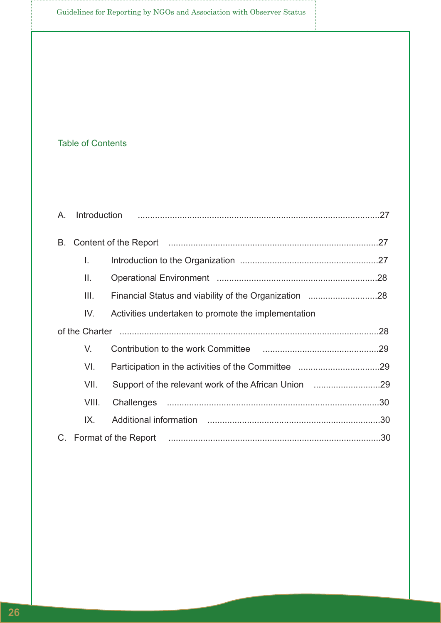#### Table of Contents

| А. |       |                                                     |  |  |
|----|-------|-----------------------------------------------------|--|--|
| Β. |       |                                                     |  |  |
|    | L.    |                                                     |  |  |
|    | Ш.    |                                                     |  |  |
|    | III.  |                                                     |  |  |
|    | IV.   | Activities undertaken to promote the implementation |  |  |
|    |       |                                                     |  |  |
|    | V.    |                                                     |  |  |
|    | VI.   |                                                     |  |  |
|    | VII.  |                                                     |  |  |
|    | VIII. |                                                     |  |  |
|    | IX.   |                                                     |  |  |
|    |       |                                                     |  |  |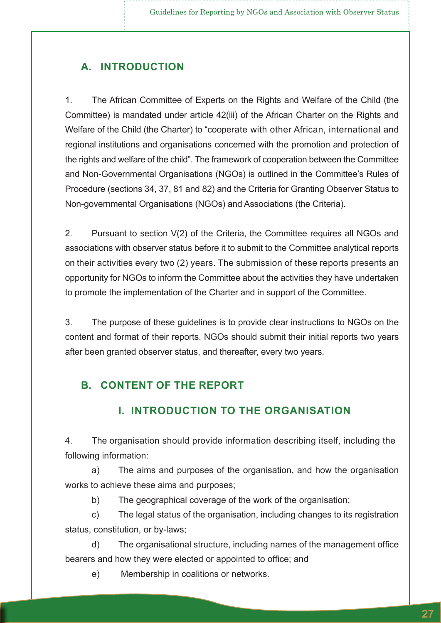#### **A. INTRODUCTION**

1. The African Committee of Experts on the Rights and Welfare of the Child (the Committee) is mandated under article 42(iii) of the African Charter on the Rights and Welfare of the Child (the Charter) to "cooperate with other African, international and regional institutions and organisations concerned with the promotion and protection of the rights and welfare of the child". The framework of cooperation between the Committee and Non-Governmental Organisations (NGOs) is outlined in the Committee's Rules of Procedure (sections 34, 37, 81 and 82) and the Criteria for Granting Observer Status to Non-governmental Organisations (NGOs) and Associations (the Criteria).

2. Pursuant to section V(2) of the Criteria, the Committee requires all NGOs and associations with observer status before it to submit to the Committee analytical reports on their activities every two (2) years. The submission of these reports presents an opportunity for NGOs to inform the Committee about the activities they have undertaken to promote the implementation of the Charter and in support of the Committee.

3. The purpose of these guidelines is to provide clear instructions to NGOs on the content and format of their reports. NGOs should submit their initial reports two years after been granted observer status, and thereafter, every two years.

#### **B. CONTENT OF THE REPORT**

#### **I. INTRODUCTION TO THE ORGANISATION**

4. The organisation should provide information describing itself, including the following information:

a) The aims and purposes of the organisation, and how the organisation works to achieve these aims and purposes;

b) The geographical coverage of the work of the organisation;

c) The legal status of the organisation, including changes to its registration status, constitution, or by-laws;

d) The organisational structure, including names of the management office bearers and how they were elected or appointed to office; and

e) Membership in coalitions or networks.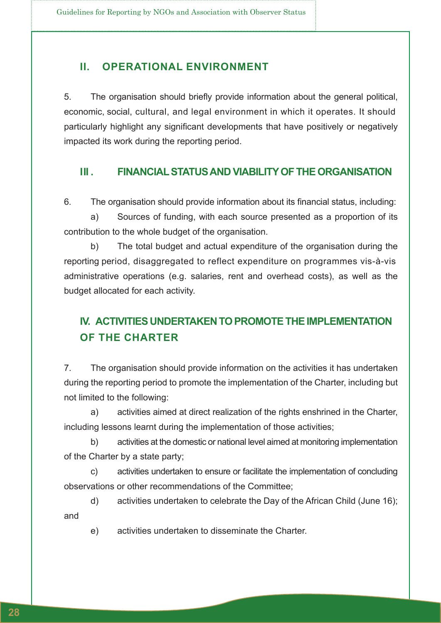#### **II. OPERATIONAL ENVIRONMENT**

5. The organisation should briefly provide information about the general political, economic, social, cultural, and legal environment in which it operates. It should particularly highlight any significant developments that have positively or negatively impacted its work during the reporting period.

#### **III . FINANCIAL STATUS AND VIABILITY OF THE ORGANISATION**

6. The organisation should provide information about its financial status, including:

a) Sources of funding, with each source presented as a proportion of its contribution to the whole budget of the organisation.

b) The total budget and actual expenditure of the organisation during the reporting period, disaggregated to reflect expenditure on programmes vis-à-vis administrative operations (e.g. salaries, rent and overhead costs), as well as the budget allocated for each activity.

### **IV. ACTIVITIES UNDERTAKEN TO PROMOTE THE IMPLEMENTATION OF THE CHARTER**

7. The organisation should provide information on the activities it has undertaken during the reporting period to promote the implementation of the Charter, including but not limited to the following:

a) activities aimed at direct realization of the rights enshrined in the Charter, including lessons learnt during the implementation of those activities;

b) activities at the domestic or national level aimed at monitoring implementation of the Charter by a state party;

c) activities undertaken to ensure or facilitate the implementation of concluding observations or other recommendations of the Committee;

d) activities undertaken to celebrate the Day of the African Child (June 16); and

e) activities undertaken to disseminate the Charter.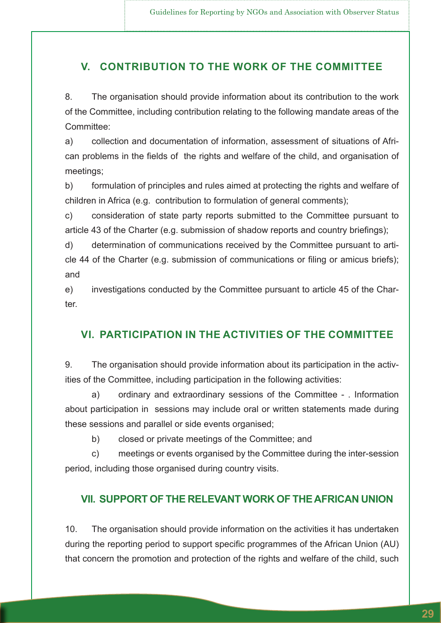#### **V. CONTRIBUTION TO THE WORK OF THE COMMITTEE**

8. The organisation should provide information about its contribution to the work of the Committee, including contribution relating to the following mandate areas of the Committee:

a) collection and documentation of information, assessment of situations of African problems in the fields of the rights and welfare of the child, and organisation of meetings;

b) formulation of principles and rules aimed at protecting the rights and welfare of children in Africa (e.g. contribution to formulation of general comments);

c) consideration of state party reports submitted to the Committee pursuant to article 43 of the Charter (e.g. submission of shadow reports and country briefings);

d) determination of communications received by the Committee pursuant to article 44 of the Charter (e.g. submission of communications or filing or amicus briefs); and

e) investigations conducted by the Committee pursuant to article 45 of the Charter.

#### **VI. PARTICIPATION IN THE ACTIVITIES OF THE COMMITTEE**

9. The organisation should provide information about its participation in the activities of the Committee, including participation in the following activities:

a) ordinary and extraordinary sessions of the Committee - . Information about participation in sessions may include oral or written statements made during these sessions and parallel or side events organised;

b) closed or private meetings of the Committee; and

c) meetings or events organised by the Committee during the inter-session period, including those organised during country visits.

#### **VII. SUPPORT OF THE RELEVANT WORK OF THE AFRICAN UNION**

10. The organisation should provide information on the activities it has undertaken during the reporting period to support specific programmes of the African Union (AU) that concern the promotion and protection of the rights and welfare of the child, such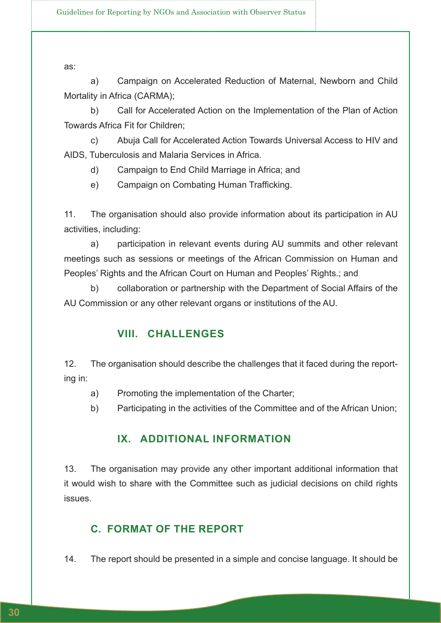as:

a) Campaign on Accelerated Reduction of Maternal, Newborn and Child Mortality in Africa (CARMA);

b) Call for Accelerated Action on the Implementation of the Plan of Action Towards Africa Fit for Children;

c) Abuja Call for Accelerated Action Towards Universal Access to HIV and AIDS, Tuberculosis and Malaria Services in Africa.

- d) Campaign to End Child Marriage in Africa; and
- e) Campaign on Combating Human Trafficking.

11. The organisation should also provide information about its participation in AU activities, including:

a) participation in relevant events during AU summits and other relevant meetings such as sessions or meetings of the African Commission on Human and Peoples' Rights and the African Court on Human and Peoples' Rights.; and

b) collaboration or partnership with the Department of Social Affairs of the AU Commission or any other relevant organs or institutions of the AU.

#### **VIII. CHALLENGES**

12. The organisation should describe the challenges that it faced during the reporting in:

- a) Promoting the implementation of the Charter;
- b) Participating in the activities of the Committee and of the African Union;

#### **IX. ADDITIONAL INFORMATION**

13. The organisation may provide any other important additional information that it would wish to share with the Committee such as judicial decisions on child rights issues.

#### **C. FORMAT OF THE REPORT**

14. The report should be presented in a simple and concise language. It should be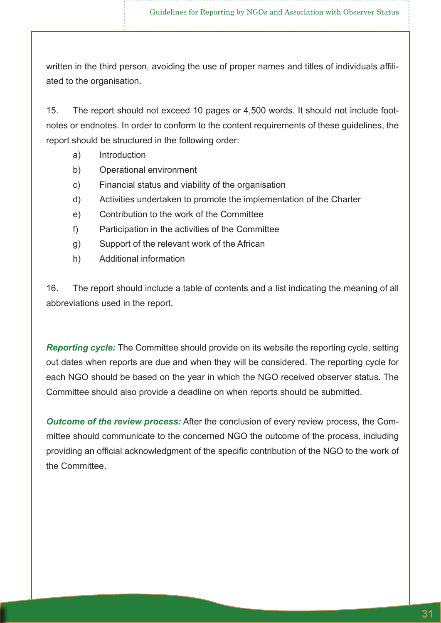written in the third person, avoiding the use of proper names and titles of individuals affiliated to the organisation.

15. The report should not exceed 10 pages or 4,500 words. It should not include footnotes or endnotes. In order to conform to the content requirements of these guidelines, the report should be structured in the following order:

- a) Introduction
- b) Operational environment
- c) Financial status and viability of the organisation
- d) Activities undertaken to promote the implementation of the Charter
- e) Contribution to the work of the Committee
- f) Participation in the activities of the Committee
- g) Support of the relevant work of the African
- h) Additional information

16. The report should include a table of contents and a list indicating the meaning of all abbreviations used in the report.

*Reporting cycle:* The Committee should provide on its website the reporting cycle, setting out dates when reports are due and when they will be considered. The reporting cycle for each NGO should be based on the year in which the NGO received observer status. The Committee should also provide a deadline on when reports should be submitted.

*Outcome of the review process:* After the conclusion of every review process, the Committee should communicate to the concerned NGO the outcome of the process, including providing an official acknowledgment of the specific contribution of the NGO to the work of the Committee.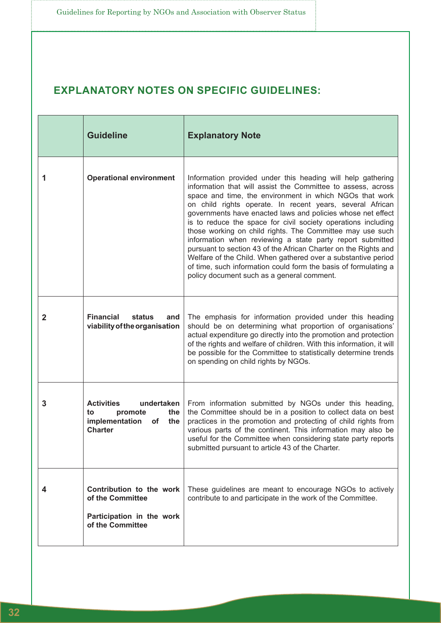### **EXPLANATORY NOTES ON SPECIFIC GUIDELINES:**

|              | <b>Guideline</b>                                                                                         | <b>Explanatory Note</b>                                                                                                                                                                                                                                                                                                                                                                                                                                                                                                                                                                                                                                                                                                                                            |
|--------------|----------------------------------------------------------------------------------------------------------|--------------------------------------------------------------------------------------------------------------------------------------------------------------------------------------------------------------------------------------------------------------------------------------------------------------------------------------------------------------------------------------------------------------------------------------------------------------------------------------------------------------------------------------------------------------------------------------------------------------------------------------------------------------------------------------------------------------------------------------------------------------------|
| 1            | <b>Operational environment</b>                                                                           | Information provided under this heading will help gathering<br>information that will assist the Committee to assess, across<br>space and time, the environment in which NGOs that work<br>on child rights operate. In recent years, several African<br>governments have enacted laws and policies whose net effect<br>is to reduce the space for civil society operations including<br>those working on child rights. The Committee may use such<br>information when reviewing a state party report submitted<br>pursuant to section 43 of the African Charter on the Rights and<br>Welfare of the Child. When gathered over a substantive period<br>of time, such information could form the basis of formulating a<br>policy document such as a general comment. |
| $\mathbf{2}$ | <b>Financial</b><br>status<br>and<br>viability of the organisation                                       | The emphasis for information provided under this heading<br>should be on determining what proportion of organisations'<br>actual expenditure go directly into the promotion and protection<br>of the rights and welfare of children. With this information, it will<br>be possible for the Committee to statistically determine trends<br>on spending on child rights by NGOs.                                                                                                                                                                                                                                                                                                                                                                                     |
| 3            | <b>Activities</b><br>undertaken<br>promote<br>the<br>to<br>implementation<br>the<br>of<br><b>Charter</b> | From information submitted by NGOs under this heading,<br>the Committee should be in a position to collect data on best<br>practices in the promotion and protecting of child rights from<br>various parts of the continent. This information may also be<br>useful for the Committee when considering state party reports<br>submitted pursuant to article 43 of the Charter.                                                                                                                                                                                                                                                                                                                                                                                     |
| 4            | Contribution to the work<br>of the Committee<br>Participation in the work<br>of the Committee            | These guidelines are meant to encourage NGOs to actively<br>contribute to and participate in the work of the Committee.                                                                                                                                                                                                                                                                                                                                                                                                                                                                                                                                                                                                                                            |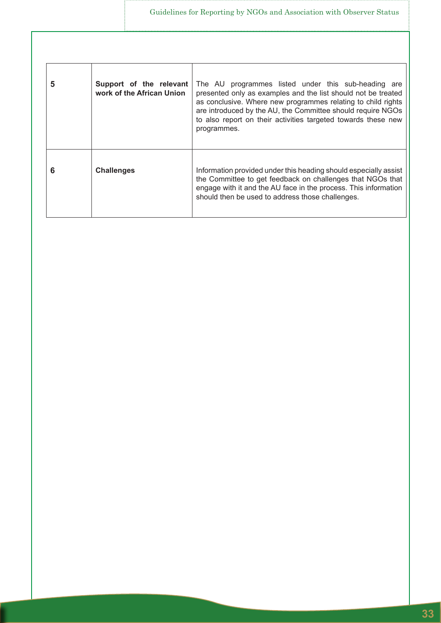| 5 | Support of the relevant<br>work of the African Union | The AU programmes listed under this sub-heading are<br>presented only as examples and the list should not be treated<br>as conclusive. Where new programmes relating to child rights<br>are introduced by the AU, the Committee should require NGOs<br>to also report on their activities targeted towards these new<br>programmes. |
|---|------------------------------------------------------|-------------------------------------------------------------------------------------------------------------------------------------------------------------------------------------------------------------------------------------------------------------------------------------------------------------------------------------|
| 6 | <b>Challenges</b>                                    | Information provided under this heading should especially assist<br>the Committee to get feedback on challenges that NGOs that<br>engage with it and the AU face in the process. This information<br>should then be used to address those challenges.                                                                               |